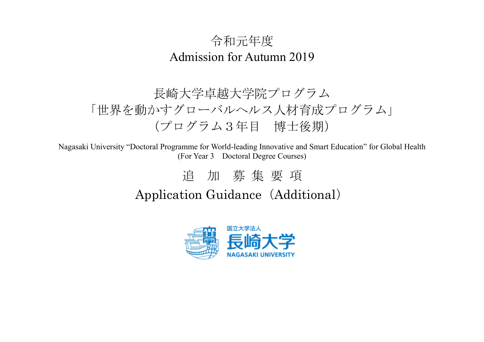### 令和元年度 Admission for Autumn 2019

## 長崎大学卓越大学院プログラム 「世界を動かすグローバルヘルス人材育成プログラム」 (プログラム3年目 博士後期)

Nagasaki University "Doctoral Programme for World-leading Innovative and Smart Education" for Global Health (For Year 3 Doctoral Degree Courses)

# 追 加 募 集 要 項 Application Guidance (Additional)

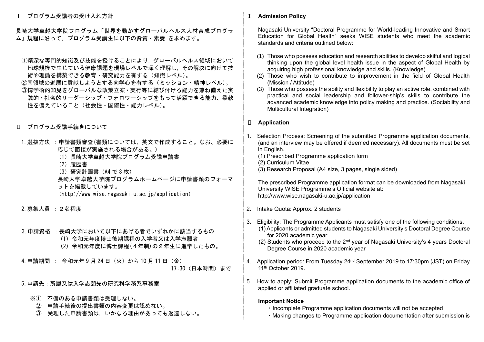Ⅰ プログラム受講者の受け入れ方針

長崎大学卓越大学院プログラム「世界を動かすグローバルヘルス人材育成プログラ ム」規程に沿って,プログラム受講生に以下の資質・素養 を求めます。

- ①精深な専門的知識及び技能を授けることにより,グローバルヘルス領域において 地球規模で生じている健康課題を現場レベルで深く理解し,その解決に向けて技 術や理論を構築できる教育・研究能力を有する(知識レベル)。
- ②同領域の進展に貢献しようとする向学心を有する(ミッション・精神レベル)。 ③博学術的知見をグローバルな政策立案・実行等に結び付ける能力を兼ね備えた実 践的・社会的リーダーシップ・フォロワーシップをもって活躍できる能力、柔軟 性を備えていること(社会性・国際性・能力レベル)。
- Ⅱ プログラム受講手続きについて
- 1. 選抜方法 : 申請書類審査(書類については、英文で作成すること。なお、必要に 応じて面接が実施される場合がある。)
	- (1)長崎大学卓越大学院プログラム受講申請書
	- (2)履歴書
	- (3)研究計画書(A4 で 3 枚)
	- 長崎大学卓越大学院プログラムホームページに申請書類のフォーマ ットを掲載しています。  $(htto://www.wise,nazasaki-u.ac.io/application)$
- 2.募集人員 :2名程度
- 3.申請資格 :長崎大学において以下にあげる者でいずれかに該当するもの
	- (1)令和元年度博士後期課程の入学者又は入学志願者
	- (2)令和元年度に博士課程(4年制)の2年生に進学したもの。

4.申請期間 : 令和元年 9 月 24 日(火)から 10 月 11 日(金) 17:30(日本時間)まで

- 5.申請先:所属又は入学志願先の研究科学務系事務室
	- ※① 不備のある申請書類は受理しない。
		- ② 申請手続後の提出書類の内容変更は認めない。
		- ③ 受理した申請書類は,いかなる理由があっても返還しない。

#### Ⅰ **Admission Policy**

 Nagasaki University "Doctoral Programme for World-leading Innovative and Smart Education for Global Health" seeks WISE students who meet the academic standards and criteria outlined below:

- (1) Those who possess education and research abilities to develop skilful and logical thinking upon the global level health issue in the aspect of Global Health by acquiring high professional knowledge and skills. (Knowledge)
- (2) Those who wish to contribute to improvement in the field of Global Health (Mission / Attitude)
- (3) Those who possess the ability and flexibility to play an active role, combined with practical and social leadership and follower-ship's skills to contribute the advanced academic knowledge into policy making and practice. (Sociability and Multicultural Integration)

#### Ⅱ **Application**

- 1. Selection Process: Screening of the submitted Programme application documents, (and an interview may be offered if deemed necessary). All documents must be set in English.
	- (1) Prescribed Programme application form
	- (2) Curriculum Vitae
	- (3) Research Proposal (A4 size, 3 pages, single sided)

 The prescribed Programme application format can be downloaded from Nagasaki University WISE Programme's Official website at: http://www.wise.nagasaki-u.ac.jp/application

- 2. Intake Quota: Approx. 2 students
- 3. Eligibility: The Programme Applicants must satisfy one of the following conditions. (1) Applicants or admitted students to Nagasaki University's Doctoral Degree Course for 2020 academic year
	- (2) Students who proceed to the  $2<sup>nd</sup>$  year of Nagasaki University's 4 years Doctoral Degree Course in 2020 academic year
- 4. Application period: From Tuesday 24<sup>nd</sup> September 2019 to 17:30pm (JST) on Friday 11<sup>th</sup> October 2019.
- 5. How to apply: Submit Programme application documents to the academic office of applied or affiliated graduate school.

#### **Important Notice**

- ・Incomplete Programme application documents will not be accepted
- ・Making changes to Programme application documentation after submission is